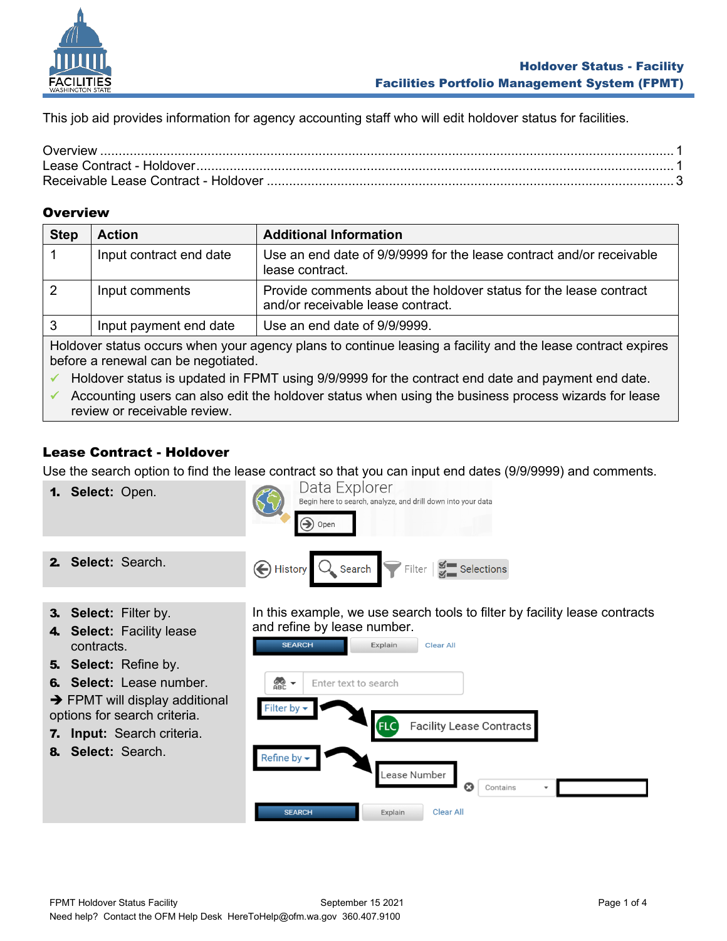

This job aid provides information for agency accounting staff who will edit holdover status for facilities.

#### <span id="page-0-0"></span>**Overview**

| <b>Step</b>                                                                                                                                        | <b>Action</b>           | <b>Additional Information</b>                                                                          |
|----------------------------------------------------------------------------------------------------------------------------------------------------|-------------------------|--------------------------------------------------------------------------------------------------------|
|                                                                                                                                                    | Input contract end date | Use an end date of 9/9/9999 for the lease contract and/or receivable<br>lease contract.                |
|                                                                                                                                                    | Input comments          | Provide comments about the holdover status for the lease contract<br>and/or receivable lease contract. |
|                                                                                                                                                    | Input payment end date  | Use an end date of 9/9/9999.                                                                           |
| Holdover status occurs when your agency plans to continue leasing a facility and the lease contract expires<br>before a renewal can be negotiated. |                         |                                                                                                        |

✓ Holdover status is updated in FPMT using 9/9/9999 for the contract end date and payment end date.

 $\checkmark$  Accounting users can also edit the holdover status when using the business process wizards for lease review or receivable review.

## <span id="page-0-1"></span>Lease Contract - Holdover

Use the search option to find the lease contract so that you can input end dates (9/9/9999) and comments.

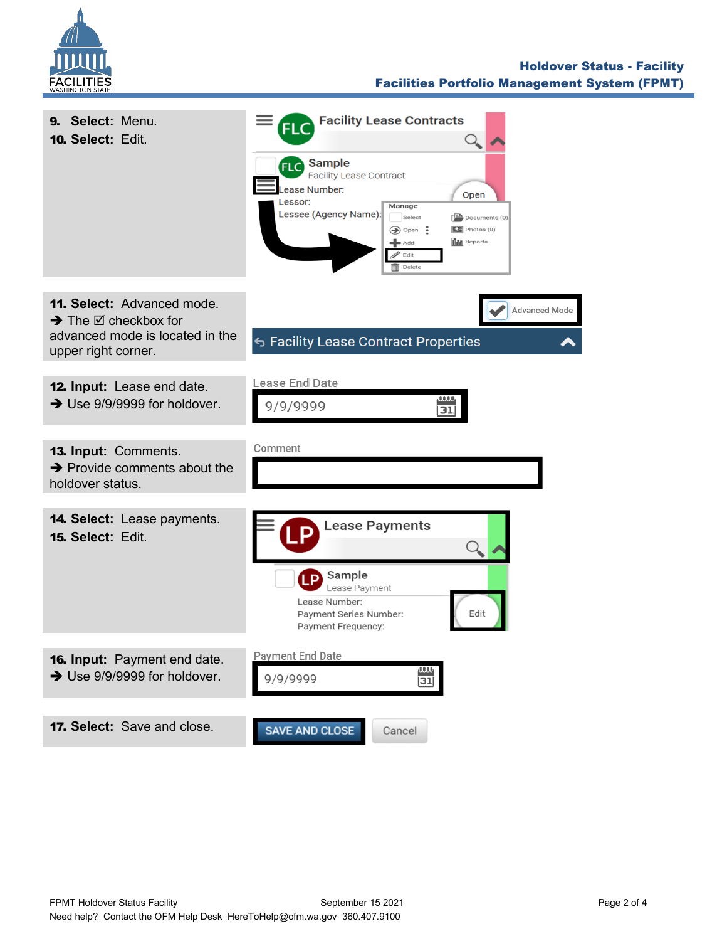

## Holdover Status - Facility Facilities Portfolio Management System (FPMT)

| 9. Select: Menu.<br>10. Select: Edit.                                                                                                     | <b>Facility Lease Contracts</b><br>FL<br><b>FLC</b> Sample<br><b>Facility Lease Contract</b><br>ease Number:<br>Open<br>Lessor:<br>Manage<br>Lessee (Agency Name):<br>Select<br>$\left[\frac{1-\mathbf{A}}{2}\right]$ Documents (0)<br>$\bigcirc$ Open:<br>$\boxed{52}$ Photos (0)<br><b>Ilili</b> Reports<br>$\blacktriangleleft$ Add<br>$\blacktriangleright$ Edit<br>$\overline{\mathbb{III}}$ Delete |
|-------------------------------------------------------------------------------------------------------------------------------------------|----------------------------------------------------------------------------------------------------------------------------------------------------------------------------------------------------------------------------------------------------------------------------------------------------------------------------------------------------------------------------------------------------------|
| <b>11. Select: Advanced mode.</b><br>$\rightarrow$ The $\boxtimes$ checkbox for<br>advanced mode is located in the<br>upper right corner. | Advanced Mode<br>← Facility Lease Contract Properties                                                                                                                                                                                                                                                                                                                                                    |
| 12. Input: Lease end date.<br>$\rightarrow$ Use 9/9/9999 for holdover.                                                                    | Lease End Date<br>9/9/9999<br>31                                                                                                                                                                                                                                                                                                                                                                         |
| 13. Input: Comments.<br>$\rightarrow$ Provide comments about the<br>holdover status.                                                      | Comment                                                                                                                                                                                                                                                                                                                                                                                                  |
| <b>14. Select:</b> Lease payments.<br>15. Select: Edit.                                                                                   | <b>Lease Payments</b><br>Sample<br><b>TP</b><br>Lease Payment<br>Lease Number:<br>Edit<br>Payment Series Number:<br>Payment Frequency:                                                                                                                                                                                                                                                                   |
| <b>16. Input:</b> Payment end date.<br>$\rightarrow$ Use 9/9/9999 for holdover.                                                           | Payment End Date<br>ww<br>9/9/9999<br>31                                                                                                                                                                                                                                                                                                                                                                 |
| <b>17. Select:</b> Save and close.                                                                                                        | <b>SAVE AND CLOSE</b><br>Cancel                                                                                                                                                                                                                                                                                                                                                                          |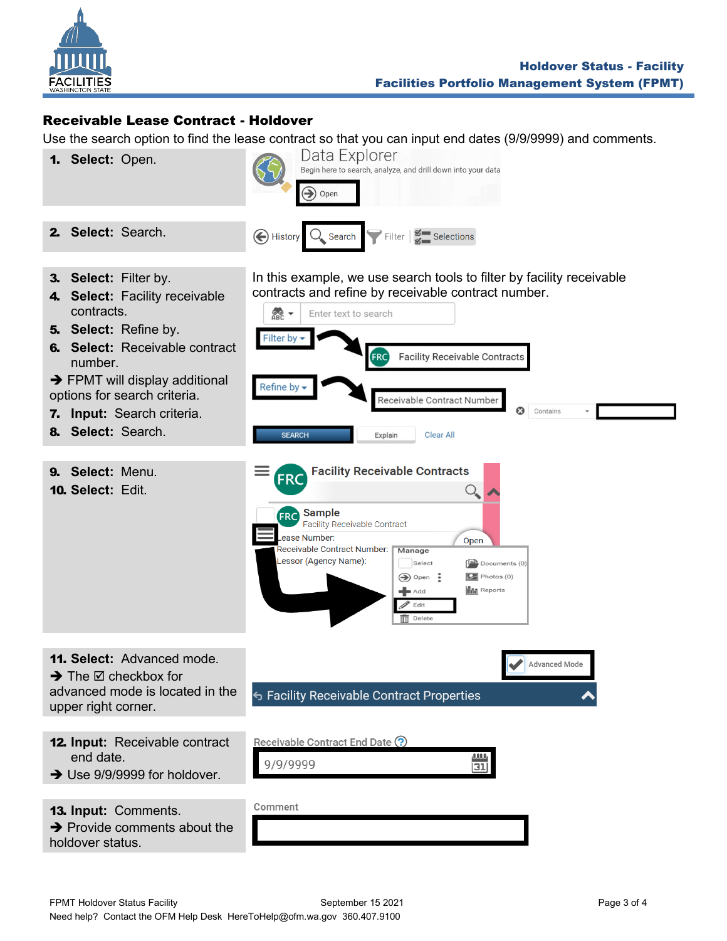

# <span id="page-2-0"></span>Receivable Lease Contract - Holdover

Use the search option to find the lease contract so that you can input end dates (9/9/9999) and comments.

1. **Select:** Open.



3. **Select:** Filter by.

2. **Select:** Search.

- 4. **Select:** Facility receivable contracts.
- 5. **Select:** Refine by.
- 6. **Select:** Receivable contract number.
- $\rightarrow$  FPMT will display additional options for search criteria.
- 7. **Input:** Search criteria.
- 8. **Select:** Search.
- 9. **Select:** Menu.

 $\rightarrow$  The  $\boxtimes$  checkbox for

13. **Input:** Comments.

**→** Provide comments about the

upper right corner.

end date.

holdover status.

10. **Select:** Edit.

In this example, we use search tools to filter by facility receivable contracts and refine by receivable contract number.



Comment